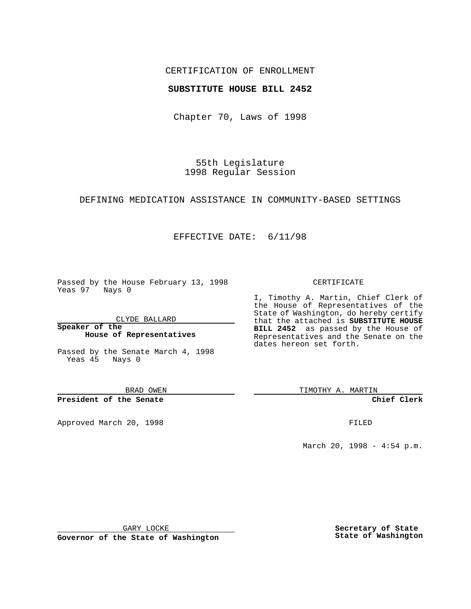## CERTIFICATION OF ENROLLMENT

## **SUBSTITUTE HOUSE BILL 2452**

Chapter 70, Laws of 1998

55th Legislature 1998 Regular Session

### DEFINING MEDICATION ASSISTANCE IN COMMUNITY-BASED SETTINGS

# EFFECTIVE DATE: 6/11/98

Passed by the House February 13, 1998 Yeas 97 Nays 0

CLYDE BALLARD

**Speaker of the House of Representatives**

Passed by the Senate March 4, 1998 Yeas 45 Nays 0

BRAD OWEN

**President of the Senate**

Approved March 20, 1998 **FILED** 

### CERTIFICATE

I, Timothy A. Martin, Chief Clerk of the House of Representatives of the State of Washington, do hereby certify that the attached is **SUBSTITUTE HOUSE BILL 2452** as passed by the House of Representatives and the Senate on the dates hereon set forth.

TIMOTHY A. MARTIN

**Chief Clerk**

March 20, 1998 - 4:54 p.m.

GARY LOCKE

**Governor of the State of Washington**

**Secretary of State State of Washington**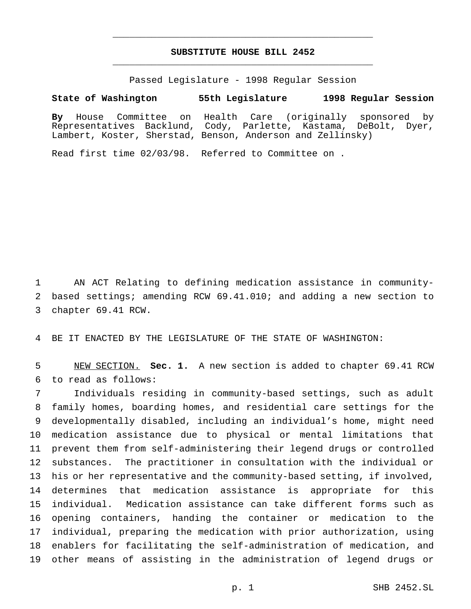# **SUBSTITUTE HOUSE BILL 2452** \_\_\_\_\_\_\_\_\_\_\_\_\_\_\_\_\_\_\_\_\_\_\_\_\_\_\_\_\_\_\_\_\_\_\_\_\_\_\_\_\_\_\_\_\_\_\_

\_\_\_\_\_\_\_\_\_\_\_\_\_\_\_\_\_\_\_\_\_\_\_\_\_\_\_\_\_\_\_\_\_\_\_\_\_\_\_\_\_\_\_\_\_\_\_

Passed Legislature - 1998 Regular Session

**State of Washington 55th Legislature 1998 Regular Session**

**By** House Committee on Health Care (originally sponsored by Representatives Backlund, Cody, Parlette, Kastama, DeBolt, Dyer, Lambert, Koster, Sherstad, Benson, Anderson and Zellinsky)

Read first time 02/03/98. Referred to Committee on .

 AN ACT Relating to defining medication assistance in community- based settings; amending RCW 69.41.010; and adding a new section to chapter 69.41 RCW.

BE IT ENACTED BY THE LEGISLATURE OF THE STATE OF WASHINGTON:

 NEW SECTION. **Sec. 1.** A new section is added to chapter 69.41 RCW to read as follows:

 Individuals residing in community-based settings, such as adult family homes, boarding homes, and residential care settings for the developmentally disabled, including an individual's home, might need medication assistance due to physical or mental limitations that prevent them from self-administering their legend drugs or controlled substances. The practitioner in consultation with the individual or his or her representative and the community-based setting, if involved, determines that medication assistance is appropriate for this individual. Medication assistance can take different forms such as opening containers, handing the container or medication to the individual, preparing the medication with prior authorization, using enablers for facilitating the self-administration of medication, and other means of assisting in the administration of legend drugs or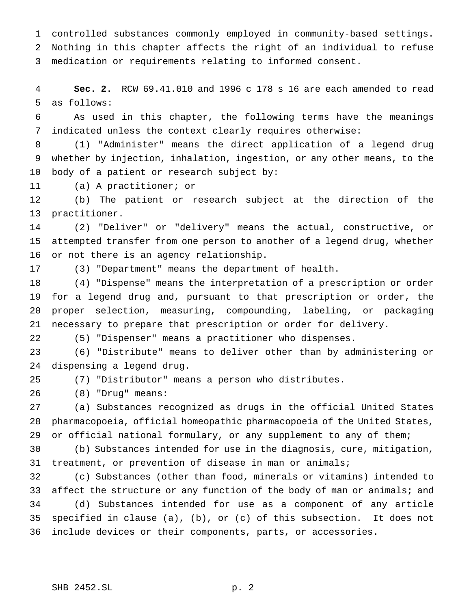controlled substances commonly employed in community-based settings. Nothing in this chapter affects the right of an individual to refuse medication or requirements relating to informed consent.

 **Sec. 2.** RCW 69.41.010 and 1996 c 178 s 16 are each amended to read as follows:

 As used in this chapter, the following terms have the meanings indicated unless the context clearly requires otherwise:

 (1) "Administer" means the direct application of a legend drug whether by injection, inhalation, ingestion, or any other means, to the body of a patient or research subject by:

(a) A practitioner; or

 (b) The patient or research subject at the direction of the practitioner.

 (2) "Deliver" or "delivery" means the actual, constructive, or attempted transfer from one person to another of a legend drug, whether or not there is an agency relationship.

(3) "Department" means the department of health.

 (4) "Dispense" means the interpretation of a prescription or order for a legend drug and, pursuant to that prescription or order, the proper selection, measuring, compounding, labeling, or packaging necessary to prepare that prescription or order for delivery.

(5) "Dispenser" means a practitioner who dispenses.

 (6) "Distribute" means to deliver other than by administering or dispensing a legend drug.

(7) "Distributor" means a person who distributes.

(8) "Drug" means:

 (a) Substances recognized as drugs in the official United States pharmacopoeia, official homeopathic pharmacopoeia of the United States, 29 or official national formulary, or any supplement to any of them;

 (b) Substances intended for use in the diagnosis, cure, mitigation, treatment, or prevention of disease in man or animals;

 (c) Substances (other than food, minerals or vitamins) intended to 33 affect the structure or any function of the body of man or animals; and (d) Substances intended for use as a component of any article specified in clause (a), (b), or (c) of this subsection. It does not include devices or their components, parts, or accessories.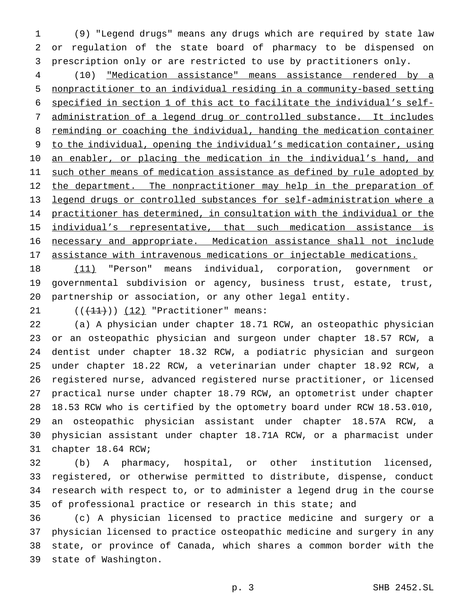(9) "Legend drugs" means any drugs which are required by state law or regulation of the state board of pharmacy to be dispensed on prescription only or are restricted to use by practitioners only.

 (10) "Medication assistance" means assistance rendered by a nonpractitioner to an individual residing in a community-based setting specified in section 1 of this act to facilitate the individual's self- administration of a legend drug or controlled substance. It includes 8 reminding or coaching the individual, handing the medication container to the individual, opening the individual's medication container, using 10 an enabler, or placing the medication in the individual's hand, and 11 such other means of medication assistance as defined by rule adopted by 12 the department. The nonpractitioner may help in the preparation of legend drugs or controlled substances for self-administration where a practitioner has determined, in consultation with the individual or the individual's representative, that such medication assistance is necessary and appropriate. Medication assistance shall not include assistance with intravenous medications or injectable medications.

18 (11) "Person" means individual, corporation, government or governmental subdivision or agency, business trust, estate, trust, partnership or association, or any other legal entity.

21  $((+11))$   $(12)$  "Practitioner" means:

 (a) A physician under chapter 18.71 RCW, an osteopathic physician or an osteopathic physician and surgeon under chapter 18.57 RCW, a dentist under chapter 18.32 RCW, a podiatric physician and surgeon under chapter 18.22 RCW, a veterinarian under chapter 18.92 RCW, a registered nurse, advanced registered nurse practitioner, or licensed practical nurse under chapter 18.79 RCW, an optometrist under chapter 18.53 RCW who is certified by the optometry board under RCW 18.53.010, an osteopathic physician assistant under chapter 18.57A RCW, a physician assistant under chapter 18.71A RCW, or a pharmacist under chapter 18.64 RCW;

 (b) A pharmacy, hospital, or other institution licensed, registered, or otherwise permitted to distribute, dispense, conduct research with respect to, or to administer a legend drug in the course of professional practice or research in this state; and

 (c) A physician licensed to practice medicine and surgery or a physician licensed to practice osteopathic medicine and surgery in any state, or province of Canada, which shares a common border with the state of Washington.